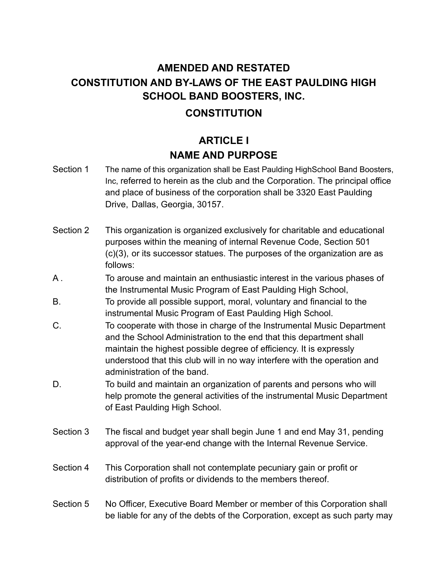# **AMENDED AND RESTATED CONSTITUTION AND BY-LAWS OF THE EAST PAULDING HIGH SCHOOL BAND BOOSTERS, INC.**

### **CONSTITUTION**

# **ARTICLE I NAME AND PURPOSE**

- Section 1 The name of this organization shall be East Paulding HighSchool Band Boosters, Inc, referred to herein as the club and the Corporation. The principal office and place of business of the corporation shall be 3320 East Paulding Drive, Dallas, Georgia, 30157.
- Section 2 This organization is organized exclusively for charitable and educational purposes within the meaning of internal Revenue Code, Section 501 (c)(3), or its successor statues. The purposes of the organization are as follows:
- A . To arouse and maintain an enthusiastic interest in the various phases of the Instrumental Music Program of East Paulding High School,
- B. To provide all possible support, moral, voluntary and financial to the instrumental Music Program of East Paulding High School.
- C. To cooperate with those in charge of the Instrumental Music Department and the School Administration to the end that this department shall maintain the highest possible degree of efficiency. It is expressly understood that this club will in no way interfere with the operation and administration of the band.
- D. To build and maintain an organization of parents and persons who will help promote the general activities of the instrumental Music Department of East Paulding High School.
- Section 3 The fiscal and budget year shall begin June 1 and end May 31, pending approval of the year-end change with the Internal Revenue Service.
- Section 4 This Corporation shall not contemplate pecuniary gain or profit or distribution of profits or dividends to the members thereof.
- Section 5 No Officer, Executive Board Member or member of this Corporation shall be liable for any of the debts of the Corporation, except as such party may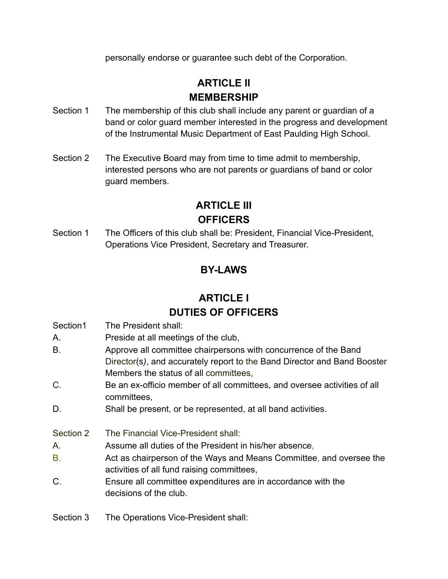personally endorse or guarantee such debt of the Corporation.

# **ARTICLE II MEMBERSHIP**

- Section 1 The membership of this club shall include any parent or quardian of a band or color guard member interested in the progress and development of the Instrumental Music Department of East Paulding High School.
- Section 2 The Executive Board may from time to time admit to membership, interested persons who are not parents or guardians of band or color guard members.

# **ARTICLE III OFFICERS**

Section 1 The Officers of this club shall be: President, Financial Vice-President, Operations Vice President, Secretary and Treasurer.

# **BY-LAWS**

# **ARTICLE I DUTIES OF OFFICERS**

- Section1 The President shall:
- A. Preside at all meetings of the club,
- B. Approve all committee chairpersons with concurrence of the Band Director(s*)*, and accurately report to the Band Director and Band Booster Members the status of all committees,
- C. Be an ex-officio member of all committees, and oversee activities of all committees,
- D. Shall be present, or be represented, at all band activities.
- Section 2 The Financial Vice-President shall:
- A. Assume all duties of the President in his/her absence,
- B. Act as chairperson of the Ways and Means Committee, and oversee the activities of all fund raising committees,
- C. Ensure all committee expenditures are in accordance with the decisions of the club.
- Section 3 The Operations Vice-President shall: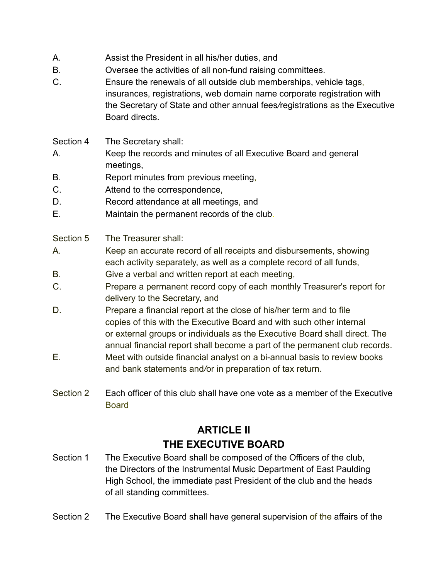- A. Assist the President in all his/her duties, and
- B. Oversee the activities of all non-fund raising committees.
- C. Ensure the renewals of all outside club memberships, vehicle tags, insurances, registrations, web domain name corporate registration with the Secretary of State and other annual fees*/*registrations as the Executive Board directs.
- Section 4 The Secretary shall:
- A. Keep the records and minutes of all Executive Board and general meetings,
- B. Report minutes from previous meeting,
- C. Attend to the correspondence,
- D. Record attendance at all meetings, and
- E. Maintain the permanent records of the club.
- Section 5 The Treasurer shall:
- A. Keep an accurate record of all receipts and disbursements, showing each activity separately, as well as a complete record of all funds,
- B. Give a verbal and written report at each meeting,
- C. Prepare a permanent record copy of each monthly Treasurer's report for delivery to the Secretary, and
- D. Prepare a financial report at the close of his/her term and to file copies of this with the Executive Board and with such other internal or external groups or individuals as the Executive Board shall direct. The annual financial report shall become a part of the permanent club records.
- E. Meet with outside financial analyst on a bi-annual basis to review books and bank statements and*/*or in preparation of tax return.
- Section 2 Each officer of this club shall have one vote as a member of the Executive **Board**

## **ARTICLE II THE EXECUTIVE BOARD**

- Section 1 The Executive Board shall be composed of the Officers of the club, the Directors of the Instrumental Music Department of East Paulding High School, the immediate past President of the club and the heads of all standing committees.
- Section 2 The Executive Board shall have general supervision of the affairs of the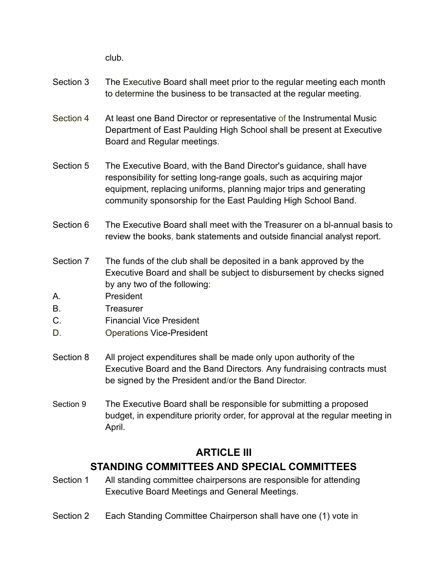club.

- Section 3 The Executive Board shall meet prior to the regular meeting each month to determine the business to be transacted at the regular meeting.
- Section 4 At least one Band Director or representative of the Instrumental Music Department of East Paulding High School shall be present at Executive Board and Regular meetings.
- Section 5 The Executive Board, with the Band Director's guidance, shall have responsibility for setting long-range goals, such as acquiring major equipment, replacing uniforms, planning major trips and generating community sponsorship for the East Paulding High School Band.
- Section 6 The Executive Board shall meet with the Treasurer on a bl-annual basis to review the books, bank statements and outside financial analyst report.
- Section 7 The funds of the club shall be deposited in a bank approved by the Executive Board and shall be subject to disbursement by checks signed by any two of the following:
- A. President
- B. Treasurer
- C. Financial Vice President
- D. Operations Vice-President
- Section 8 All project expenditures shall be made only upon authority of the Executive Board and the Band Directors. Any fundraising contracts must be signed by the President and/or the Band Director.
- Section 9 The Executive Board shall be responsible for submitting a proposed budget, in expenditure priority order, for approval at the regular meeting in April.

## **ARTICLE III STANDING COMMITTEES AND SPECIAL COMMITTEES**

- Section 1 All standing committee chairpersons are responsible for attending Executive Board Meetings and General Meetings.
- Section 2 Each Standing Committee Chairperson shall have one (1) vote in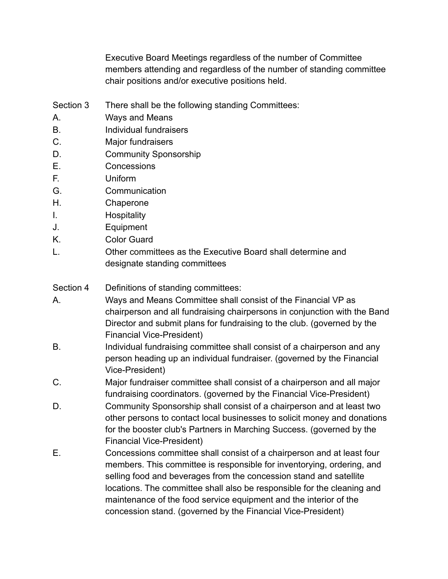Executive Board Meetings regardless of the number of Committee members attending and regardless of the number of standing committee chair positions and/or executive positions held.

- Section 3 There shall be the following standing Committees:
- A. Ways and Means
- B. Individual fundraisers
- C. Major fundraisers
- D. Community Sponsorship
- E. Concessions
- F. Uniform
- G. Communication
- H. Chaperone
- I. Hospitality
- J. Equipment
- K. Color Guard
- L. Other committees as the Executive Board shall determine and designate standing committees
- Section 4 Definitions of standing committees:
- A. Ways and Means Committee shall consist of the Financial VP as chairperson and all fundraising chairpersons in conjunction with the Band Director and submit plans for fundraising to the club. (governed by the Financial Vice-President)
- B. Individual fundraising committee shall consist of a chairperson and any person heading up an individual fundraiser. (governed by the Financial Vice-President)
- C. Major fundraiser committee shall consist of a chairperson and all major fundraising coordinators. (governed by the Financial Vice-President)
- D. Community Sponsorship shall consist of a chairperson and at least two other persons to contact local businesses to solicit money and donations for the booster club's Partners in Marching Success. (governed by the Financial Vice-President)
- E. Concessions committee shall consist of a chairperson and at least four members. This committee is responsible for inventorying, ordering, and selling food and beverages from the concession stand and satellite locations. The committee shall also be responsible for the cleaning and maintenance of the food service equipment and the interior of the concession stand. (governed by the Financial Vice-President)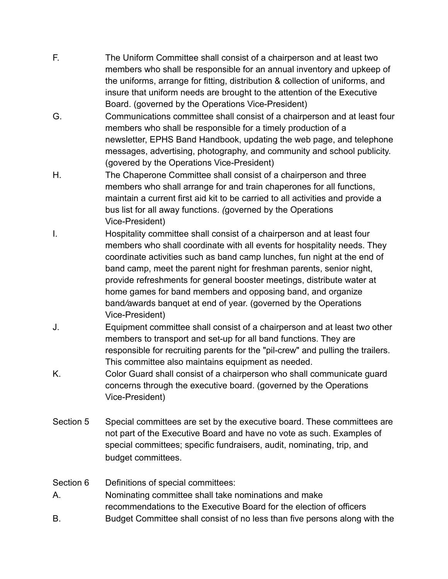- F. The Uniform Committee shall consist of a chairperson and at least two members who shall be responsible for an annual inventory and upkeep of the uniforms, arrange for fitting, distribution & collection of uniforms, and insure that uniform needs are brought to the attention of the Executive Board. (governed by the Operations Vice-President)
- G. Communications committee shall consist of a chairperson and at least four members who shall be responsible for a timely production of a newsletter, EPHS Band Handbook, updating the web page, and telephone messages, advertising, photography, and community and school publicity. (govered by the Operations Vice-President)
- H. The Chaperone Committee shall consist of a chairperson and three members who shall arrange for and train chaperones for all functions, maintain a current first aid kit to be carried to all activities and provide a bus list for all away functions. *(*governed by the Operations Vice-President)
- I. Hospitality committee shall consist of a chairperson and at least four members who shall coordinate with all events for hospitality needs. They coordinate activities such as band camp lunches, fun night at the end of band camp, meet the parent night for freshman parents, senior night, provide refreshments for general booster meetings, distribute water at home games for band members and opposing band, and organize band*/*awards banquet at end of year. (governed by the Operations Vice-President)
- J. Equipment committee shall consist of a chairperson and at least tw*o* other members to transport and set-up for all band functions. They are responsible for recruiting parents for the "pil-crew" and pulling the trailers. This committee also maintains equipment as needed.
- K. Color Guard shall consist of a chairperson who shall communicate guard concerns through the executive board. (governed by the Operations Vice-President)
- Section 5 Special committees are set by the executive board. These committees are not part of the Executive Board and have no vote as such. Examples of special committees; specific fundraisers, audit, nominating, trip, and budget committees.

Section 6 Definitions of special committees:

- A. Nominating committee shall take nominations and make recommendations to the Executive Board for the election of officers
- B. Budget Committee shall consist of no less than five persons along with the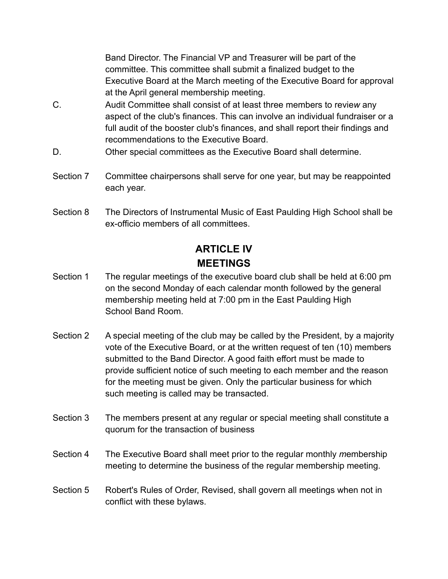Band Director. The Financial VP and Treasurer will be part of the committee. This committee shall submit a finalized budget to the Executive Board at the March meeting of the Executive Board for approval at the April general membership meeting.

- C. Audit Committee shall consist of at least three members to revie*w* any aspect of the club's finances. This can involve an individual fundraiser or a full audit of the booster club's finances, and shall report their findings and recommendations to the Executive Board.
- D. Other special committees as the Executive Board shall determine.
- Section 7 Committee chairpersons shall serve for one year, but may be reappointed each year.
- Section 8 The Directors of Instrumental Music of East Paulding High School shall be ex-officio members of all committees.

# **ARTICLE IV MEETINGS**

- Section 1 The regular meetings of the executive board club shall be held at 6:00 pm on the second Monday of each calendar month followed by the general membership meeting held at 7:00 pm in the East Paulding High School Band Room.
- Section 2 A special meeting of the club may be called by the President, by a majority vote of the Executive Board, or at the written request of ten (10) members submitted to the Band Director. A good faith effort must be made to provide sufficient notice of such meeting to each member and the reason for the meeting must be given. Only the particular business for which such meeting is called may be transacted.
- Section 3 The members present at any regular or special meeting shall constitute a quorum for the transaction of business
- Section 4 The Executive Board shall meet prior to the regular monthly *m*embership meeting to determine the business of the regular membership meeting.
- Section 5 Robert's Rules of Order, Revised, shall govern all meetings when not in conflict with these bylaws.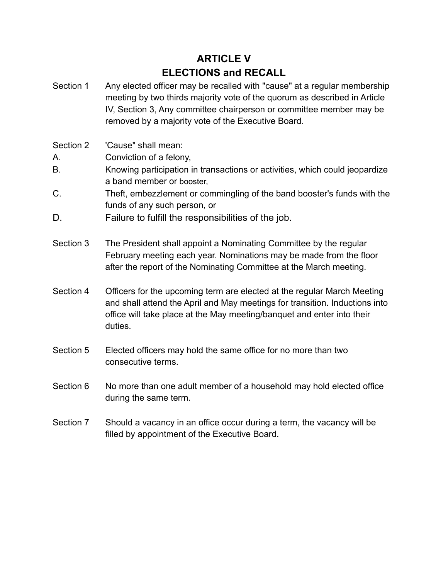# **ARTICLE V ELECTIONS and RECALL**

- Section 1 Any elected officer may be recalled with "cause" at a regular membership meeting by two thirds majority vote of the quorum as described in Article IV, Section 3, Any committee chairperson or committee member may be removed by a majority vote of the Executive Board.
- Section 2 'Cause" shall mean:
- A. Conviction of a felony,
- B. Knowing participation in transactions or activities, which could jeopardize a band member or booster,
- C. Theft, embezzlement or commingling of the band booster's funds with the funds of any such person, or
- D. Failure to fulfill the responsibilities of the job.
- Section 3 The President shall appoint a Nominating Committee by the regular February meeting each year. Nominations may be made from the floor after the report of the Nominating Committee at the March meeting.
- Section 4 Officers for the upcoming term are elected at the regular March Meeting and shall attend the April and May meetings for transition. Inductions into office will take place at the May meeting/banquet and enter into their duties.
- Section 5 Elected officers may hold the same office for no more than two consecutive terms.
- Section 6 No more than one adult member of a household may hold elected office during the same term.
- Section 7 Should a vacancy in an office occur during a term, the vacancy will be filled by appointment of the Executive Board.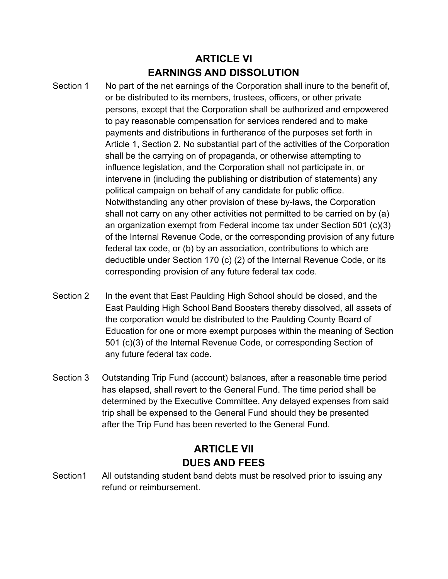## **ARTICLE VI EARNINGS AND DISSOLUTION**

- Section 1 No part of the net earnings of the Corporation shall inure to the benefit of, or be distributed to its members, trustees, officers, or other private persons, except that the Corporation shall be authorized and emp*o*wered to pay reasonable compensation for services rendered and to make payments and distributions in furtherance of the purposes set forth in Article 1, Section 2. No substantial part of the activities of the Corporation shall be the carrying on of propaganda, or otherwise attempting to influence legislation, and the Corporation shall not participate in, or intervene in (including the publishing or distribution of statements) any political campaign on behalf of any candidate for public office. Notwithstanding any other provision of these by-laws, the Corporation shall not carry on any other activities not permitted to be carried on by (a) an organization exempt from Federal income tax under Section 501 (c)(3) of the Internal Revenue Code, or the corresponding provision of any future federal tax code, or (b) by an association, contributions to which are deductible under Section 170 (c) (2) of the Internal Revenue Code, or its corresponding provision of any future federal tax code.
- Section 2 In the event that East Paulding High School should be closed, and the East Paulding High School Band Boosters thereby dissolved, all assets of the corporation would be distributed to the Paulding County Board of Education for one or more exempt purposes within the meaning of Section 501 (c)(3) of the Internal Revenue Code, or corresponding Section of any future federal tax code.
- Section 3 Outstanding Trip Fund (account) balances, after a reasonable time period has elapsed, shall revert to the General Fund. The time period shall be determined by the Executive Committee. Any delayed expenses from said trip shall be expensed to the General Fund should they be presented after the Trip Fund has been reverted to the General Fund.

## **ARTICLE VII DUES AND FEES**

Section1 All outstanding student band debts must be resolved prior to issuing any refund or reimbursement.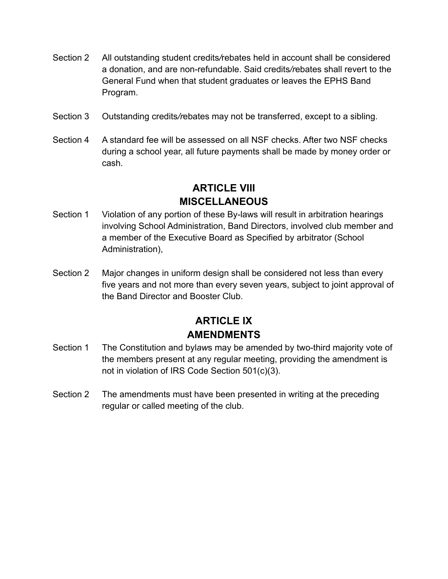- Section 2 All outstanding student credits*/*rebates held in account shall be considered a donation, and are non-refundable. Said credits*/r*ebates shall revert to the General Fund when that student graduates or leaves the EPHS Band Program.
- Section 3 Outstanding credits*/r*ebates may not be transferred, except to a sibling.
- Section 4 A standard fee will be assessed on all NSF checks. After two NSF checks during a school year, all future payments shall be made by money order or cash.

## **ARTICLE VIII MISCELLANEOUS**

- Section 1 Violation of any portion of these By-laws will result in arbitration hearings involving School Administration, Band Directors, involved club member and a member of the Executive Board as Specified by arbitrator (School Administration),
- Section 2 Major changes in uniform design shall be considered not less than every five years and not more than every seven yea*r*s, subject to joint approval of the Band Director and Booster Club.

## **ARTICLE IX AMENDMENTS**

- Section 1 The Constitution and byl*aw*s may be amended by two-third majority vote of the members present at any regular meeting, providing the amendment is not in violation of IRS Code Section 501(c)(3).
- Section 2 The amendments must have been presented in writing at the preceding regular or called meeting of the club.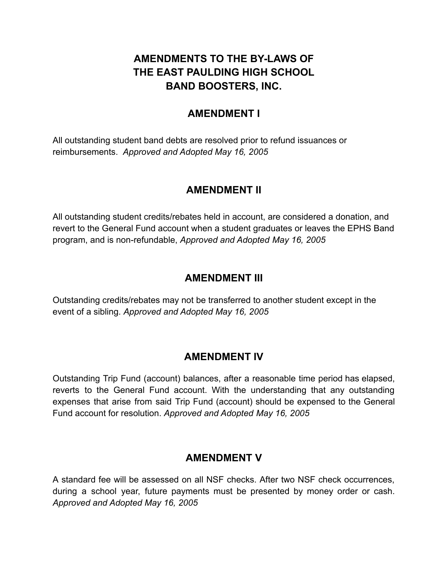## **AMENDMENTS TO THE BY-LAWS OF THE EAST PAULDING HIGH SCHOOL BAND BOOSTERS, INC.**

### **AMENDMENT I**

All outstanding student band debts are resolved prior to refund issuances or reimbursements. *Approved and Adopted May 16, 2005*

#### **AMENDMENT II**

All outstanding student credits/rebates held in account, are considered a donation, and revert to the General Fund account when a student graduates or leaves the EPHS Band program, and is non-refundable, *Approved and Adopted May 16, 2005*

#### **AMENDMENT III**

Outstanding credits/rebates may not be transferred to another student except in the event of a sibling. *Approved and Adopted May 16, 2005*

#### **AMENDMENT IV**

Outstanding Trip Fund (account) balances, after a reasonable time period has elapsed, reverts to the General Fund account. With the understanding that any outstanding expenses that arise from said Trip Fund (account) should be expensed to the General Fund account for resolution. *Approved and Adopted May 16, 2005*

#### **AMENDMENT V**

A standard fee will be assessed on all NSF checks. After two NSF check occurrences, during a school year, future payments must be presented by money order or cash. *Approved and Adopted May 16, 2005*